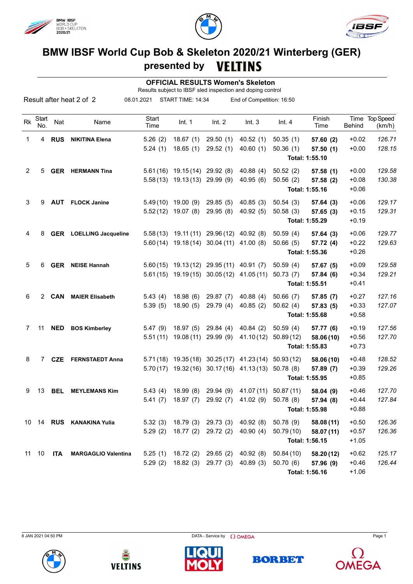





## **BMW IBSF World Cup Bob & Skeleton 2020/21 Winterberg (GER) presented by** VELTINS

 **OFFICIAL RESULTS Women's Skeleton**

Results subject to IBSF sled inspection and doping control

| Result after heat 2 of 2 |              |            |                                | 08.01.2021<br>START TIME: 14:34 |                                |                                            | End of Competition: 16:50 |            |                |               |                          |
|--------------------------|--------------|------------|--------------------------------|---------------------------------|--------------------------------|--------------------------------------------|---------------------------|------------|----------------|---------------|--------------------------|
| Rk                       | Start<br>No. | Nat        | Name                           | Start<br>Time                   | Int. $1$                       | Int. 2                                     | Int.3                     | Int.4      | Finish<br>Time | <b>Behind</b> | Time Top Speed<br>(km/h) |
| 1                        | 4            | <b>RUS</b> | <b>NIKITINA Elena</b>          | 5.26(2)                         | 18.67(1)                       | 29.50(1)                                   | 40.52(1)                  | 50.35(1)   | 57.60 (2)      | $+0.02$       | 126.71                   |
|                          |              |            |                                | 5.24(1)                         | 18.65(1)                       | 29.52(1)                                   | 40.60(1)                  | 50.36(1)   | 57.50(1)       | $+0.00$       | 128.15                   |
|                          |              |            |                                |                                 |                                |                                            |                           |            | Total: 1:55.10 |               |                          |
| 2                        | 5            |            | <b>GER</b> HERMANN Tina        |                                 | 5.61 (16) 19.15 (14) 29.92 (8) |                                            | 40.88(4)                  | 50.52(2)   | 57.58(1)       | $+0.00$       | 129.58                   |
|                          |              |            |                                |                                 | 5.58 (13) 19.13 (13) 29.99 (9) |                                            | 40.95(6)                  | 50.56(2)   | 57.58 (2)      | $+0.08$       | 130.38                   |
|                          |              |            |                                |                                 |                                |                                            |                           |            | Total: 1:55.16 | $+0.06$       |                          |
| 3                        | 9            | <b>AUT</b> | <b>FLOCK Janine</b>            |                                 | $5.49(10)$ 19.00 (9)           | 29.85(5)                                   | 40.85(3)                  | 50.54(3)   | 57.64(3)       | $+0.06$       | 129.17                   |
|                          |              |            |                                |                                 | $5.52(12)$ 19.07 (8)           | 29.95(8)                                   | 40.92(5)                  | 50.58(3)   | 57.65(3)       | $+0.15$       | 129.31                   |
|                          |              |            |                                |                                 |                                |                                            |                           |            | Total: 1:55.29 | $+0.19$       |                          |
| 4                        | 8            |            | <b>GER</b> LOELLING Jacqueline | 5.58(13)                        | 19.11 (11)                     | 29.96 (12)                                 | 40.92(8)                  | 50.59(4)   | 57.64(3)       | $+0.06$       | 129.77                   |
|                          |              |            |                                |                                 | $5.60(14)$ 19.18(14)           | 30.04 (11) 41.00 (8)                       |                           | 50.66(5)   | 57.72 (4)      | $+0.22$       | 129.63                   |
|                          |              |            |                                |                                 |                                |                                            |                           |            | Total: 1:55.36 | $+0.26$       |                          |
| 5                        | 6            |            | <b>GER</b> NEISE Hannah        |                                 |                                | 5.60 (15) 19.13 (12) 29.95 (11) 40.91 (7)  |                           | 50.59(4)   | 57.67 (5)      | $+0.09$       | 129.58                   |
|                          |              |            |                                |                                 |                                | 5.61 (15) 19.19 (15) 30.05 (12) 41.05 (11) |                           | 50.73(7)   | 57.84 (6)      | $+0.34$       | 129.21                   |
|                          |              |            |                                |                                 |                                |                                            |                           |            | Total: 1:55.51 | $+0.41$       |                          |
| 6                        |              | 2 CAN      | <b>MAIER Elisabeth</b>         | 5.43(4)                         | 18.98(6)                       | 29.87 (7)                                  | 40.88(4)                  | 50.66(7)   | 57.85 (7)      | $+0.27$       | 127.16                   |
|                          |              |            |                                | 5.39(5)                         | 18.90(5)                       | 29.79 (4)                                  | 40.85(2)                  | 50.62(4)   | 57.83 (5)      | $+0.33$       | 127.07                   |
|                          |              |            |                                |                                 |                                |                                            |                           |            | Total: 1:55.68 | $+0.58$       |                          |
| 7                        | 11           | <b>NED</b> | <b>BOS Kimberley</b>           | 5.47(9)                         | 18.97(5)                       | 29.84(4)                                   | 40.84(2)                  | 50.59(4)   | 57.77 (6)      | $+0.19$       | 127.56                   |
|                          |              |            |                                | 5.51(11)                        | 19.08(11)                      | 29.99 (9)                                  | 41.10(12)                 | 50.89(12)  | 58.06 (10)     | $+0.56$       | 127.70                   |
|                          |              |            |                                |                                 |                                |                                            |                           |            | Total: 1:55.83 | $+0.73$       |                          |
| 8                        | 7            | <b>CZE</b> | <b>FERNSTAEDT Anna</b>         |                                 | $5.71(18)$ 19.35 (18)          | 30.25 (17)                                 | 41.23(14)                 | 50.93(12)  | 58.06 (10)     | $+0.48$       | 128.52                   |
|                          |              |            |                                | 5.70(17)                        | 19.32 (16)                     |                                            | $30.17(16)$ 41.13(13)     | 50.78(8)   | 57.89 (7)      | $+0.39$       | 129.26                   |
|                          |              |            |                                |                                 |                                |                                            |                           |            | Total: 1:55.95 | $+0.85$       |                          |
| 9                        | 13           | <b>BEL</b> | <b>MEYLEMANS Kim</b>           | 5.43(4)                         | 18.99(8)                       | 29.94(9)                                   | 41.07 (11)                | 50.87 (11) | 58.04(9)       | $+0.46$       | 127.70                   |
|                          |              |            |                                | 5.41(7)                         | 18.97 (7)                      | 29.92 (7)                                  | 41.02(9)                  | 50.78(8)   | 57.94 (8)      | $+0.44$       | 127.84                   |
|                          |              |            |                                |                                 |                                |                                            |                           |            | Total: 1:55.98 | $+0.88$       |                          |
|                          |              |            | 10 14 RUS KANAKINA Yulia       | 5.32(3)                         | 18.79 (3)                      | 29.73 (3)                                  | 40.92(8)                  | 50.78(9)   | 58.08 (11)     | $+0.50$       | 126.36                   |
|                          |              |            |                                | 5.29(2)                         | 18.77 (2)                      | 29.72(2)                                   | 40.90(4)                  | 50.79 (10) | 58.07 (11)     | $+0.57$       | 126.36                   |
|                          |              |            |                                |                                 |                                |                                            |                           |            | Total: 1:56.15 | $+1.05$       |                          |
| 11                       | 10           | <b>ITA</b> | <b>MARGAGLIO Valentina</b>     | 5.25(1)                         | 18.72 (2)                      | 29.65(2)                                   | 40.92 (8)                 | 50.84(10)  | 58.20 (12)     | $+0.62$       | 125.17                   |
|                          |              |            |                                | 5.29(2)                         | 18.82(3)                       | 29.77(3)                                   | 40.89(3)                  | 50.70(6)   | 57.96 (9)      | $+0.46$       | 126.44                   |
|                          |              |            |                                |                                 |                                |                                            |                           |            | Total: 1:56.16 | $+1.06$       |                          |

**BORBET**